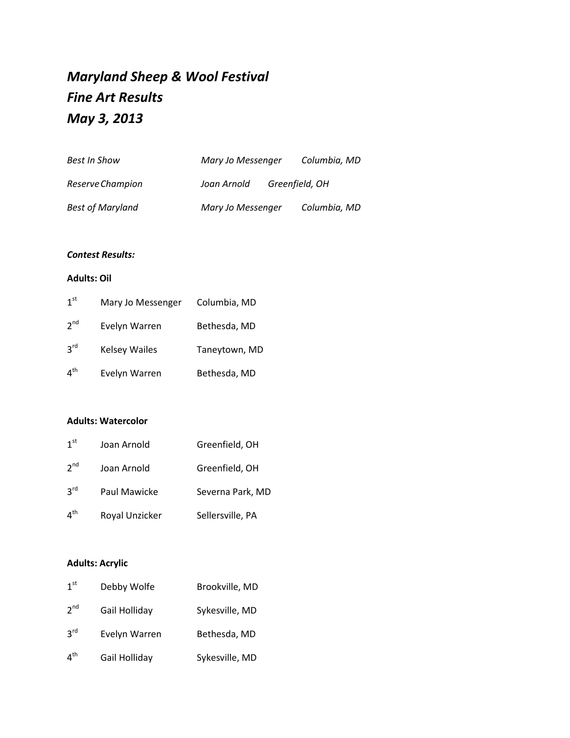# *Maryland Sheep & Wool Festival Fine Art Results May 3, 2013*

| Best In Show            | Mary Jo Messenger |                | Columbia, MD |
|-------------------------|-------------------|----------------|--------------|
| Reserve Champion        | Joan Arnold       | Greenfield, OH |              |
| <b>Best of Maryland</b> | Mary Jo Messenger |                | Columbia, MD |

#### *Contest Results:*

#### **Adults: Oil**

| 1 <sup>st</sup> | Mary Jo Messenger    | Columbia, MD  |
|-----------------|----------------------|---------------|
| 2 <sup>nd</sup> | Evelyn Warren        | Bethesda, MD  |
| 3 <sup>rd</sup> | <b>Kelsey Wailes</b> | Taneytown, MD |
| 4 <sup>th</sup> | Evelyn Warren        | Bethesda, MD  |

#### **Adults: Watercolor**

| 1 <sup>st</sup> | Joan Arnold    | Greenfield, OH   |
|-----------------|----------------|------------------|
| 2 <sup>nd</sup> | Joan Arnold    | Greenfield, OH   |
| 3 <sup>rd</sup> | Paul Mawicke   | Severna Park, MD |
| 4 <sup>th</sup> | Royal Unzicker | Sellersville, PA |

## **Adults: Acrylic**

| 1 <sup>st</sup> | Debby Wolfe   | Brookville, MD |
|-----------------|---------------|----------------|
| 2 <sup>nd</sup> | Gail Holliday | Sykesville, MD |
| $3^{\text{rd}}$ | Evelyn Warren | Bethesda, MD   |
| 4 <sup>th</sup> | Gail Holliday | Sykesville, MD |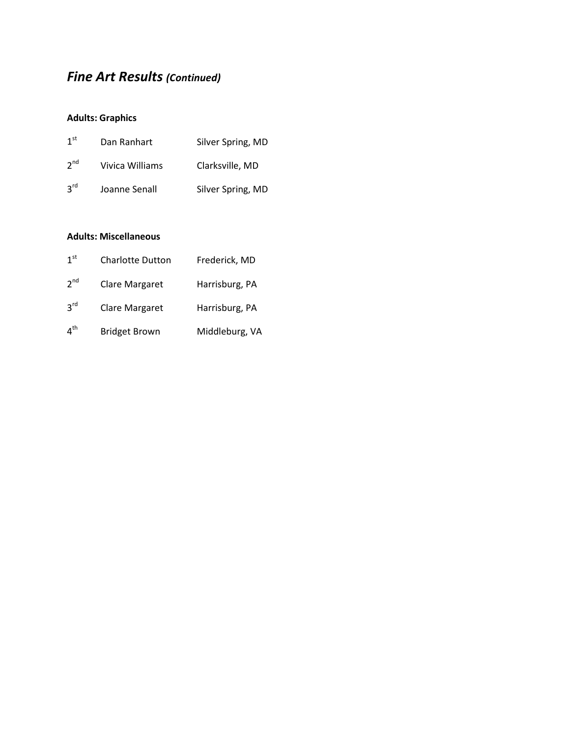## *Fine Art Results (Continued)*

### **Adults: Graphics**

| 1 <sup>st</sup> | Dan Ranhart     | Silver Spring, MD |
|-----------------|-----------------|-------------------|
| 2 <sup>nd</sup> | Vivica Williams | Clarksville, MD   |
| $3^{\text{rd}}$ | Joanne Senall   | Silver Spring, MD |

#### **Adults: Miscellaneous**

| 1 <sup>st</sup> | <b>Charlotte Dutton</b> | Frederick, MD  |
|-----------------|-------------------------|----------------|
| 2 <sup>nd</sup> | Clare Margaret          | Harrisburg, PA |
| 3 <sup>rd</sup> | Clare Margaret          | Harrisburg, PA |
| 4 <sup>th</sup> | <b>Bridget Brown</b>    | Middleburg, VA |